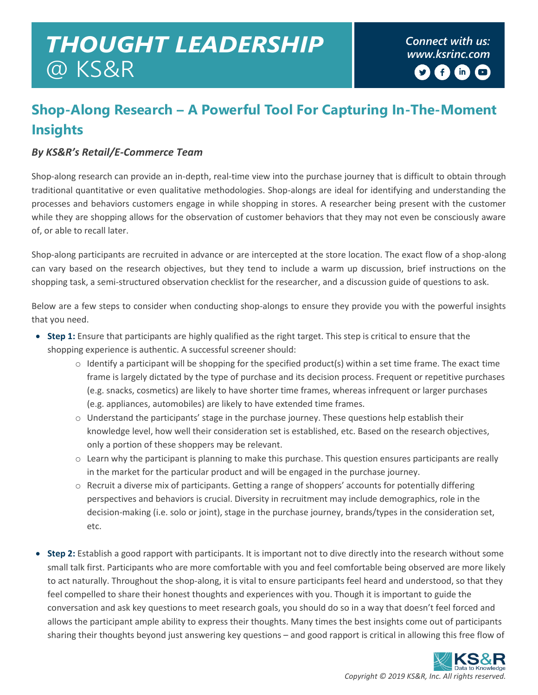## *Connect with us: THOUGHT LEADERSHIP [www.ksrinc.com](http://www.ksrinc.com/)* @ KS&R

## **Shop-Along Research – A Powerful Tool For Capturing In-The-Moment Insights**

## *By KS&R's Retail/E-Commerce Team*

Shop-along research can provide an in-depth, real-time view into the purchase journey that is difficult to obtain through traditional quantitative or even qualitative methodologies. Shop-alongs are ideal for identifying and understanding the processes and behaviors customers engage in while shopping in stores. A researcher being present with the customer while they are shopping allows for the observation of customer behaviors that they may not even be consciously aware of, or able to recall later.

Shop-along participants are recruited in advance or are intercepted at the store location. The exact flow of a shop-along can vary based on the research objectives, but they tend to include a warm up discussion, brief instructions on the shopping task, a semi-structured observation checklist for the researcher, and a discussion guide of questions to ask.

Below are a few steps to consider when conducting shop-alongs to ensure they provide you with the powerful insights that you need.

- **Step 1:** Ensure that participants are highly qualified as the right target. This step is critical to ensure that the shopping experience is authentic. A successful screener should:
	- $\circ$  Identify a participant will be shopping for the specified product(s) within a set time frame. The exact time frame is largely dictated by the type of purchase and its decision process. Frequent or repetitive purchases (e.g. snacks, cosmetics) are likely to have shorter time frames, whereas infrequent or larger purchases (e.g. appliances, automobiles) are likely to have extended time frames.
	- $\circ$  Understand the participants' stage in the purchase journey. These questions help establish their knowledge level, how well their consideration set is established, etc. Based on the research objectives, only a portion of these shoppers may be relevant.
	- o Learn why the participant is planning to make this purchase. This question ensures participants are really in the market for the particular product and will be engaged in the purchase journey.
	- o Recruit a diverse mix of participants. Getting a range of shoppers' accounts for potentially differing perspectives and behaviors is crucial. Diversity in recruitment may include demographics, role in the decision-making (i.e. solo or joint), stage in the purchase journey, brands/types in the consideration set, etc.
- **Step 2:** Establish a good rapport with participants. It is important not to dive directly into the research without some small talk first. Participants who are more comfortable with you and feel comfortable being observed are more likely to act naturally. Throughout the shop-along, it is vital to ensure participants feel heard and understood, so that they feel compelled to share their honest thoughts and experiences with you. Though it is important to guide the conversation and ask key questions to meet research goals, you should do so in a way that doesn't feel forced and allows the participant ample ability to express their thoughts. Many times the best insights come out of participants sharing their thoughts beyond just answering key questions – and good rapport is critical in allowing this free flow of

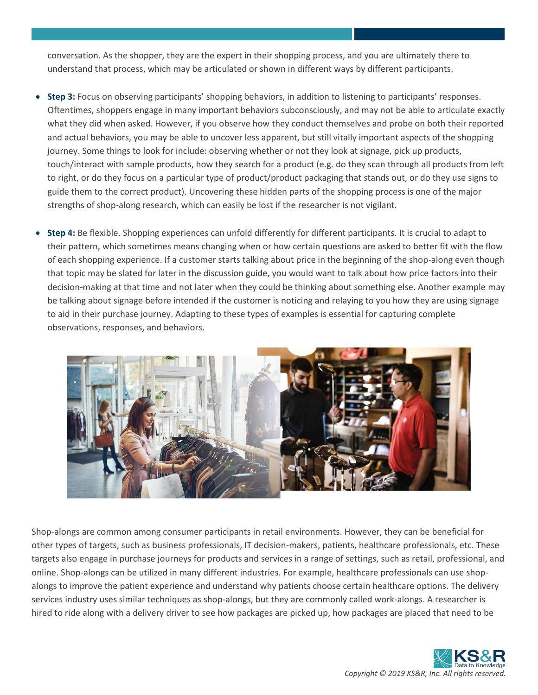conversation. As the shopper, they are the expert in their shopping process, and you are ultimately there to understand that process, which may be articulated or shown in different ways by different participants.

- **Step 3:** Focus on observing participants' shopping behaviors, in addition to listening to participants' responses. Oftentimes, shoppers engage in many important behaviors subconsciously, and may not be able to articulate exactly what they did when asked. However, if you observe how they conduct themselves and probe on both their reported and actual behaviors, you may be able to uncover less apparent, but still vitally important aspects of the shopping journey. Some things to look for include: observing whether or not they look at signage, pick up products, touch/interact with sample products, how they search for a product (e.g. do they scan through all products from left to right, or do they focus on a particular type of product/product packaging that stands out, or do they use signs to guide them to the correct product). Uncovering these hidden parts of the shopping process is one of the major strengths of shop-along research, which can easily be lost if the researcher is not vigilant.
- **Step 4:** Be flexible. Shopping experiences can unfold differently for different participants. It is crucial to adapt to their pattern, which sometimes means changing when or how certain questions are asked to better fit with the flow of each shopping experience. If a customer starts talking about price in the beginning of the shop-along even though that topic may be slated for later in the discussion guide, you would want to talk about how price factors into their decision-making at that time and not later when they could be thinking about something else. Another example may be talking about signage before intended if the customer is noticing and relaying to you how they are using signage to aid in their purchase journey. Adapting to these types of examples is essential for capturing complete observations, responses, and behaviors.



Shop-alongs are common among consumer participants in retail environments. However, they can be beneficial for other types of targets, such as business professionals, IT decision-makers, patients, healthcare professionals, etc. These targets also engage in purchase journeys for products and services in a range of settings, such as retail, professional, and online. Shop-alongs can be utilized in many different industries. For example, healthcare professionals can use shopalongs to improve the patient experience and understand why patients choose certain healthcare options. The delivery services industry uses similar techniques as shop-alongs, but they are commonly called work-alongs. A researcher is hired to ride along with a delivery driver to see how packages are picked up, how packages are placed that need to be